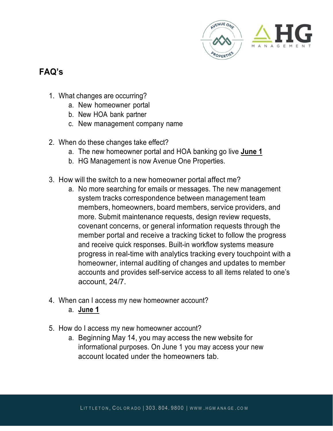

## **FAQ's**

- 1. What changes are occurring?
	- a. New homeowner portal
	- b. New HOA bank partner
	- c. New management company name
- 2. When do these changes take effect?
	- a. The new homeowner portal and HOA banking go live **June 1**
	- b. HG Management is now Avenue One Properties.
- 3. How will the switch to a new homeowner portal affect me?
	- a. No more searching for emails or messages. The new management system tracks correspondence between management team members, homeowners, board members, service providers, and more. Submit maintenance requests, design review requests, covenant concerns, or general information requests through the member portal and receive a tracking ticket to follow the progress and receive quick responses. Built-in workflow systems measure progress in real-time with analytics tracking every touchpoint with a homeowner, internal auditing of changes and updates to member accounts and provides self-service access to all items related to one's account, 24/7.
- 4. When can I access my new homeowner account?
	- a. **June 1**
- 5. How do I access my new homeowner account?
	- a. Beginning May 14, you may access the new website for informational purposes. On June 1 you may access your new account located under the homeowners tab.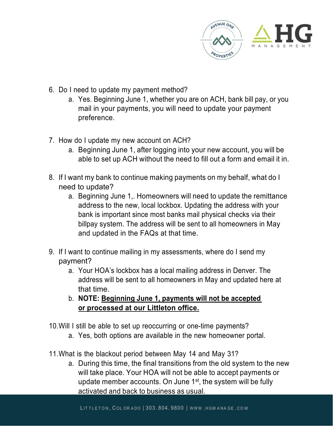

- 6. Do I need to update my payment method?
	- a. Yes. Beginning June 1, whether you are on ACH, bank bill pay, or you mail in your payments, you will need to update your payment preference.
- 7. How do I update my new account on ACH?
	- a. Beginning June 1, after logging into your new account, you will be able to set up ACH without the need to fill out a form and email it in.
- 8. If I want my bank to continue making payments on my behalf, what do I need to update?
	- a. Beginning June 1,. Homeowners will need to update the remittance address to the new, local lockbox. Updating the address with your bank is important since most banks mail physical checks via their billpay system. The address will be sent to all homeowners in May and updated in the FAQs at that time.
- 9. If I want to continue mailing in my assessments, where do I send my payment?
	- a. Your HOA's lockbox has a local mailing address in Denver. The address will be sent to all homeowners in May and updated here at that time.
	- b. **NOTE: Beginning June 1, payments will not be accepted or processed at our Littleton office.**
- 10.Will I still be able to set up reoccurring or one-time payments?
	- a. Yes, both options are available in the new homeowner portal.
- 11.What is the blackout period between May 14 and May 31?
	- a. During this time, the final transitions from the old system to the new will take place. Your HOA will not be able to accept payments or update member accounts. On June  $1<sup>st</sup>$ , the system will be fully activated and back to business as usual.